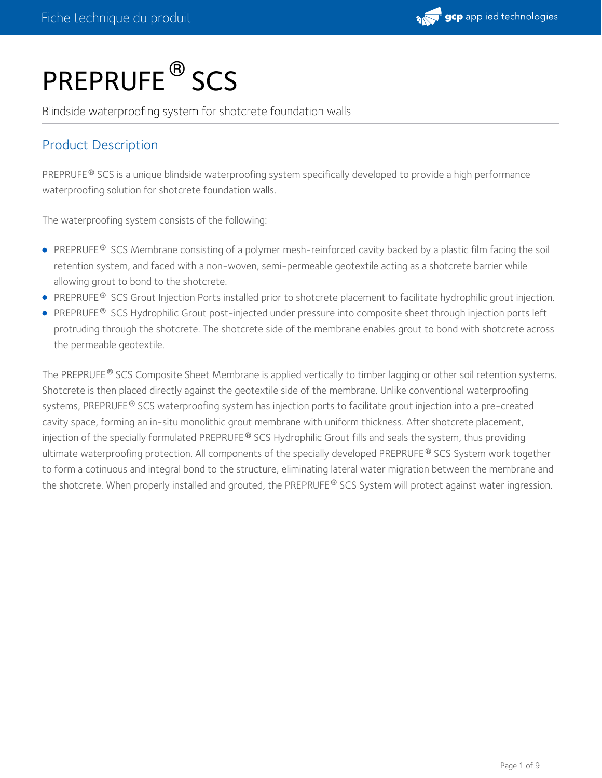

# PREPRUFE<sup>®</sup>SCS

Blindside waterproofing system for shotcrete foundation walls

# Product Description

PREPRUFE® SCS is a unique blindside waterproofing system specifically developed to provide a high performance waterproofing solution for shotcrete foundation walls.

The waterproofing system consists of the following:

- PREPRUFE® SCS Membrane consisting of a polymer mesh-reinforced cavity backed by a plastic film facing the soil retention system, and faced with a non-woven, semi-permeable geotextile acting as a shotcrete barrier while allowing grout to bond to the shotcrete.
- PREPRUFE<sup>®</sup> SCS Grout Injection Ports installed prior to shotcrete placement to facilitate hydrophilic grout injection.
- <code>PREPRUFE® SCS</code> Hydrophilic Grout post-injected under pressure into composite sheet through injection ports left  $\,$ protruding through the shotcrete. The shotcrete side of the membrane enables grout to bond with shotcrete across the permeable geotextile.

The PREPRUFE  $^\circ$  SCS Composite Sheet Membrane is applied vertically to timber lagging or other soil retention systems. Shotcrete is then placed directly against the geotextile side of the membrane. Unlike conventional waterproofing systems, <code>PREPRUFE®</code> SCS waterproofing system has injection ports to facilitate grout injection into a pre-created cavity space, forming an in-situ monolithic grout membrane with uniform thickness. After shotcrete placement, injection of the specially formulated PREPRUFE® SCS Hydrophilic Grout fills and seals the system, thus providing ultimate waterproofing protection. All components of the specially developed PREPRUFE  $^\circ$  SCS System work together to form a cotinuous and integral bond to the structure, eliminating lateral water migration between the membrane and the shotcrete. When properly installed and grouted, the PREPRUFE  $^\circ$  SCS System will protect against water ingression.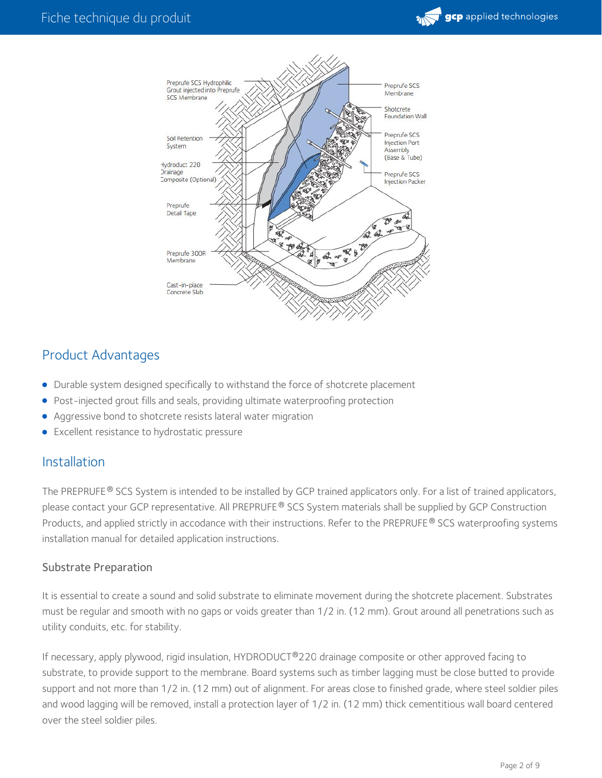



# Product Advantages

- Durable system designed specifically to withstand the force of shotcrete placement  $\bullet$
- Post-injected grout fills and seals, providing ultimate waterproofing protection  $\bullet$
- Aggressive bond to shotcrete resists lateral water migration  $\bullet$
- **Excellent resistance to hydrostatic pressure**

#### Installation

The PREPRUFE  $^\circ$  SCS System is intended to be installed by GCP trained applicators only. For a list of trained applicators, please contact your GCP representative. All PREPRUFE® SCS System materials shall be supplied by GCP Construction Products, and applied strictly in accodance with their instructions. Refer to the PREPRUFE® SCS waterproofing systems installation manual for detailed application instructions.

#### Substrate Preparation

It is essential to create a sound and solid substrate to eliminate movement during the shotcrete placement. Substrates must be regular and smooth with no gaps or voids greater than 1/2 in. (12 mm). Grout around all penetrations such as utility conduits, etc. for stability.

If necessary, apply plywood, rigid insulation, HYDRODUCT®220 drainage composite or other approved facing to substrate, to provide support to the membrane. Board systems such as timber lagging must be close butted to provide support and not more than 1/2 in. (12 mm) out of alignment. For areas close to finished grade, where steel soldier piles and wood lagging will be removed, install a protection layer of 1/2 in. (12 mm) thick cementitious wall board centered over the steel soldier piles.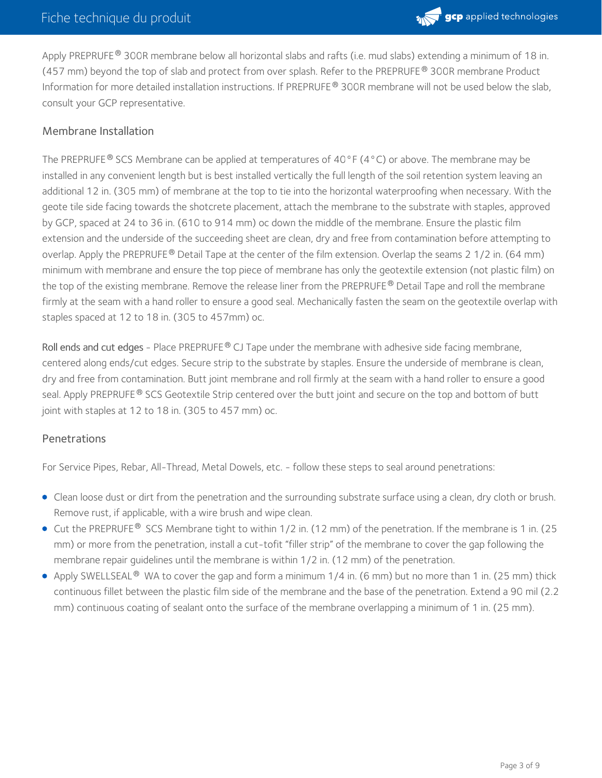

Apply PREPRUFE® 300R membrane below all horizontal slabs and rafts (i.e. mud slabs) extending a minimum of 18 in. (457 mm) beyond the top of slab and protect from over splash. Refer to the PREPRUFE  $^\circledR$  300R membrane Product Information for more detailed installation instructions. If PREPRUFE® 300R membrane will not be used below the slab, consult your GCP representative.

#### Membrane Installation

The PREPRUFE  $^{\circledR}$  SCS Membrane can be applied at temperatures of 40°F (4°C) or above. The membrane may be installed in any convenient length but is best installed vertically the full length of the soil retention system leaving an additional 12 in. (305 mm) of membrane at the top to tie into the horizontal waterproofing when necessary. With the geote tile side facing towards the shotcrete placement, attach the membrane to the substrate with staples, approved by GCP, spaced at 24 to 36 in. (610 to 914 mm) oc down the middle of the membrane. Ensure the plastic film extension and the underside of the succeeding sheet are clean, dry and free from contamination before attempting to overlap. Apply the PREPRUFE® Detail Tape at the center of the film extension. Overlap the seams 2 1/2 in. (64 mm) minimum with membrane and ensure the top piece of membrane has only the geotextile extension (not plastic film) on the top of the existing membrane. Remove the release liner from the PREPRUFE® Detail Tape and roll the membrane firmly at the seam with a hand roller to ensure a good seal. Mechanically fasten the seam on the geotextile overlap with staples spaced at 12 to 18 in. (305 to 457mm) oc.

Roll ends and cut edges - Place PREPRUFE® CJ Tape under the membrane with adhesive side facing membrane, centered along ends/cut edges. Secure strip to the substrate by staples. Ensure the underside of membrane is clean, dry and free from contamination. Butt joint membrane and roll firmly at the seam with a hand roller to ensure a good seal. Apply PREPRUFE® SCS Geotextile Strip centered over the butt joint and secure on the top and bottom of butt joint with staples at 12 to 18 in. (305 to 457 mm) oc.

#### Penetrations

For Service Pipes, Rebar, All-Thread, Metal Dowels, etc. - follow these steps to seal around penetrations:

- Clean loose dust or dirt from the penetration and the surrounding substrate surface using a clean, dry cloth or brush. Remove rust, if applicable, with a wire brush and wipe clean.
- Cut the PREPRUFE® SCS Membrane tight to within 1/2 in. (12 mm) of the penetration. If the membrane is 1 in. (25 mm) or more from the penetration, install a cut-tofit "filler strip" of the membrane to cover the gap following the membrane repair guidelines until the membrane is within 1/2 in. (12 mm) of the penetration.
- Apply SWELLSEAL  $^\circledR$  WA to cover the gap and form a minimum 1/4 in. (6 mm) but no more than 1 in. (25 mm) thick continuous fillet between the plastic film side of the membrane and the base of the penetration. Extend a 90 mil (2.2 mm) continuous coating of sealant onto the surface of the membrane overlapping a minimum of 1 in. (25 mm).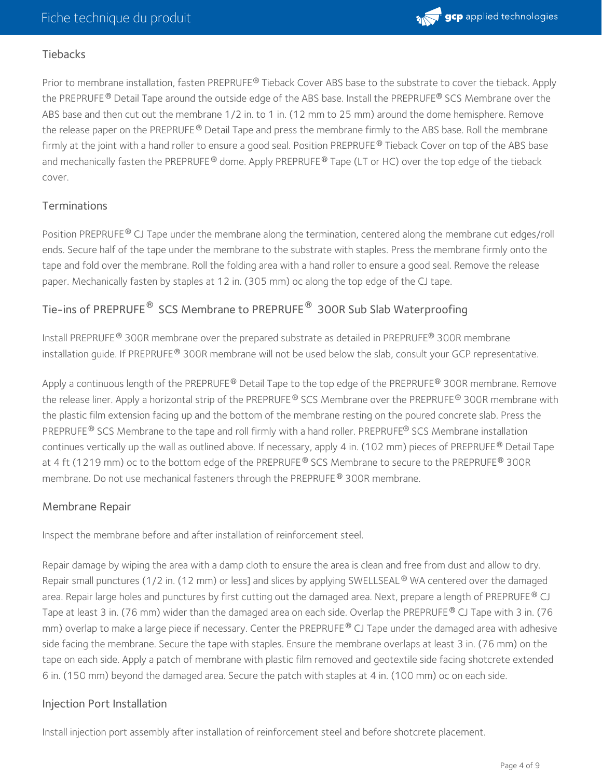

#### **Tiebacks**

Prior to membrane installation, fasten PREPRUFE® Tieback Cover ABS base to the substrate to cover the tieback. Apply the PREPRUFE® Detail Tape around the outside edge of the ABS base. Install the PREPRUFE® SCS Membrane over the ABS base and then cut out the membrane 1/2 in. to 1 in. (12 mm to 25 mm) around the dome hemisphere. Remove the release paper on the PREPRUFE® Detail Tape and press the membrane firmly to the ABS base. Roll the membrane firmly at the joint with a hand roller to ensure a good seal. Position PREPRUFE® Tieback Cover on top of the ABS base and mechanically fasten the PREPRUFE® dome. Apply PREPRUFE® Tape (LT or HC) over the top edge of the tieback cover.

#### **Terminations**

Position PREPRUFE® CJ Tape under the membrane along the termination, centered along the membrane cut edges/roll ends. Secure half of the tape under the membrane to the substrate with staples. Press the membrane firmly onto the tape and fold over the membrane. Roll the folding area with a hand roller to ensure a good seal. Remove the release paper. Mechanically fasten by staples at 12 in. (305 mm) oc along the top edge of the CJ tape.

## Tie-ins of PREPRUFE $^\circledR$  SCS Membrane to PREPRUFE $^\circledR$  300R Sub Slab Waterproofing

Install PREPRUFE  $^\circledR$  300R membrane over the prepared substrate as detailed in PREPRUFE  $^\circledR$  300R membrane installation guide. If PREPRUFE® 300R membrane will not be used below the slab, consult your GCP representative.

Apply a continuous length of the PREPRUFE® Detail Tape to the top edge of the PREPRUFE® 300R membrane. Remove the release liner. Apply a horizontal strip of the PREPRUFE® SCS Membrane over the PREPRUFE® 300R membrane with the plastic film extension facing up and the bottom of the membrane resting on the poured concrete slab. Press the PREPRUFE® SCS Membrane to the tape and roll firmly with a hand roller. PREPRUFE® SCS Membrane installation continues vertically up the wall as outlined above. If necessary, apply 4 in. (102 mm) pieces of PREPRUFE  $^\circ$  Detail Tape at 4 ft (1219 mm) oc to the bottom edge of the PREPRUFE  $^\circ$  SCS Membrane to secure to the PREPRUFE  $^\circ$  300R membrane. Do not use mechanical fasteners through the PREPRUFE  $^\circledR$  300R membrane.

#### Membrane Repair

Inspect the membrane before and after installation of reinforcement steel.

Repair damage by wiping the area with a damp cloth to ensure the area is clean and free from dust and allow to dry. Repair small punctures (1/2 in. (12 mm) or less] and slices by applying SWELLSEAL ® WA centered over the damaged area. Repair large holes and punctures by first cutting out the damaged area. Next, prepare a length of PREPRUFE® CJ Tape at least 3 in. (76 mm) wider than the damaged area on each side. Overlap the PREPRUFE® CJ Tape with 3 in. (76 mm) overlap to make a large piece if necessary. Center the PREPRUFE  $^\circledR$  CJ Tape under the damaged area with adhesive side facing the membrane. Secure the tape with staples. Ensure the membrane overlaps at least 3 in. (76 mm) on the tape on each side. Apply a patch of membrane with plastic film removed and geotextile side facing shotcrete extended 6 in. (150 mm) beyond the damaged area. Secure the patch with staples at 4 in. (100 mm) oc on each side.

#### Injection Port Installation

Install injection port assembly after installation of reinforcement steel and before shotcrete placement.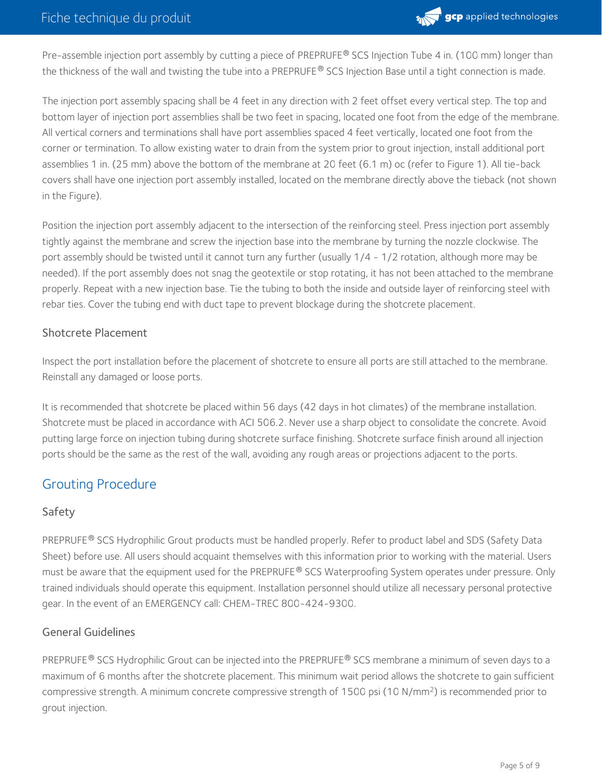

Pre-assemble injection port assembly by cutting a piece of PREPRUFE® SCS Injection Tube 4 in. (100 mm) longer than the thickness of the wall and twisting the tube into a PREPRUFE® SCS Injection Base until a tight connection is made.

The injection port assembly spacing shall be 4 feet in any direction with 2 feet offset every vertical step. The top and bottom layer of injection port assemblies shall be two feet in spacing, located one foot from the edge of the membrane. All vertical corners and terminations shall have port assemblies spaced 4 feet vertically, located one foot from the corner or termination. To allow existing water to drain from the system prior to grout injection, install additional port assemblies 1 in. (25 mm) above the bottom of the membrane at 20 feet (6.1 m) oc (refer to Figure 1). All tie-back covers shall have one injection port assembly installed, located on the membrane directly above the tieback (not shown in the Figure).

Position the injection port assembly adjacent to the intersection of the reinforcing steel. Press injection port assembly tightly against the membrane and screw the injection base into the membrane by turning the nozzle clockwise. The port assembly should be twisted until it cannot turn any further (usually 1/4 - 1/2 rotation, although more may be needed). If the port assembly does not snag the geotextile or stop rotating, it has not been attached to the membrane properly. Repeat with a new injection base. Tie the tubing to both the inside and outside layer of reinforcing steel with rebar ties. Cover the tubing end with duct tape to prevent blockage during the shotcrete placement.

#### Shotcrete Placement

Inspect the port installation before the placement of shotcrete to ensure all ports are still attached to the membrane. Reinstall any damaged or loose ports.

It is recommended that shotcrete be placed within 56 days (42 days in hot climates) of the membrane installation. Shotcrete must be placed in accordance with ACI 506.2. Never use a sharp object to consolidate the concrete. Avoid putting large force on injection tubing during shotcrete surface finishing. Shotcrete surface finish around all injection ports should be the same as the rest of the wall, avoiding any rough areas or projections adjacent to the ports.

# Grouting Procedure

#### Safety

PREPRUFE® SCS Hydrophilic Grout products must be handled properly. Refer to product label and SDS (Safety Data Sheet) before use. All users should acquaint themselves with this information prior to working with the material. Users must be aware that the equipment used for the PREPRUFE® SCS Waterproofing System operates under pressure. Only trained individuals should operate this equipment. Installation personnel should utilize all necessary personal protective gear. In the event of an EMERGENCY call: CHEM-TREC 800-424-9300.

#### General Guidelines

PREPRUFE  $^\circledR$  SCS Hydrophilic Grout can be injected into the PREPRUFE  $^\circledR$  SCS membrane a minimum of seven days to a maximum of 6 months after the shotcrete placement. This minimum wait period allows the shotcrete to gain sufficient compressive strength. A minimum concrete compressive strength of 1500 psi (10 N/mm<sup>2</sup>) is recommended prior to grout injection.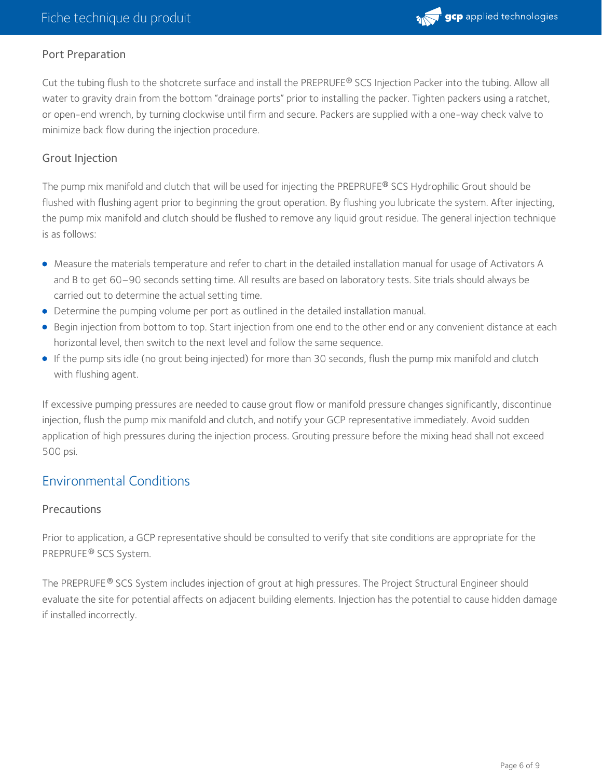

#### Port Preparation

Cut the tubing flush to the shotcrete surface and install the PREPRUFE® SCS Injection Packer into the tubing. Allow all water to gravity drain from the bottom "drainage ports" prior to installing the packer. Tighten packers using a ratchet, or open-end wrench, by turning clockwise until firm and secure. Packers are supplied with a one-way check valve to minimize back flow during the injection procedure.

#### Grout Injection

The pump mix manifold and clutch that will be used for injecting the PREPRUFE® SCS Hydrophilic Grout should be flushed with flushing agent prior to beginning the grout operation. By flushing you lubricate the system. After injecting, the pump mix manifold and clutch should be flushed to remove any liquid grout residue. The general injection technique is as follows:

- Measure the materials temperature and refer to chart in the detailed installation manual for usage of Activators A and B to get 60–90 seconds setting time. All results are based on laboratory tests. Site trials should always be carried out to determine the actual setting time.
- Determine the pumping volume per port as outlined in the detailed installation manual.
- Begin injection from bottom totop. Start injection from one end to the other end or any convenient distance at each horizontal level, then switch to the next level and follow the same sequence.
- If the pump sits idle (no grout being injected) for more than 30 seconds, flush the pump mix manifold and clutch with flushing agent.

If excessive pumping pressures are needed to cause grout flow or manifold pressure changes significantly, discontinue injection, flush the pump mix manifold and clutch, and notify your GCP representative immediately. Avoid sudden application of high pressures during the injection process. Grouting pressure before the mixing head shall not exceed 500 psi.

# Environmental Conditions

#### **Precautions**

Prior to application, a GCP representative should be consulted to verify that site conditions are appropriate for the PREPRUFE® SCS System.

The PREPRUFE® SCS System includes injection of grout at high pressures. The Project Structural Engineer should evaluate the site for potential affects on adjacent building elements. Injection has the potential to cause hidden damage if installed incorrectly.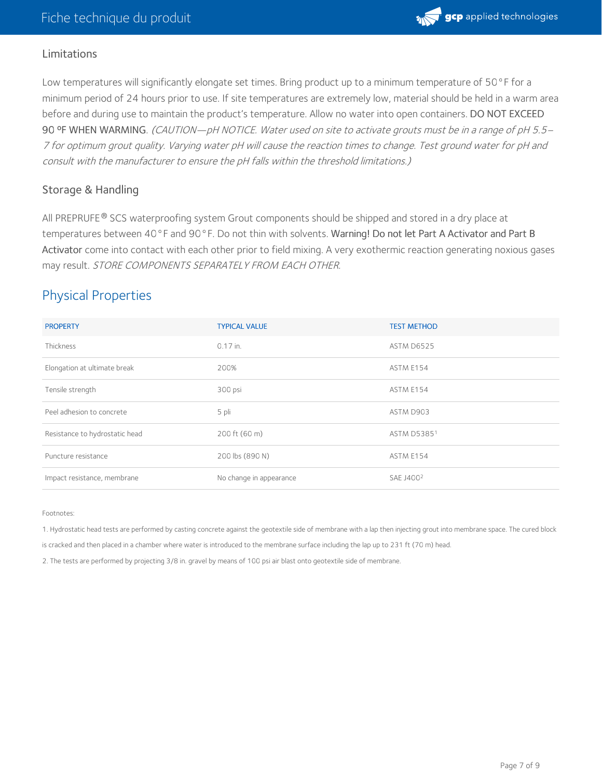

#### Limitations

Low temperatures will significantly elongate set times. Bring product up to a minimum temperature of 50°F for a minimum period of 24 hours prior to use. If site temperatures are extremely low, material should be held in a warm area before and during use to maintain the product's temperature. Allow no water into open containers. DO NOT EXCEED 90 °F WHEN WARMING. (CAUTION—pH NOTICE. Water used on site to activate grouts must be in a range of pH 5.5– <sup>7</sup> for optimum grout quality. Varying water pH will cause the reaction times to change. Test ground water for pH and consult with the manufacturer to ensure the pH falls within the threshold limitations.)

#### Storage & Handling

All PREPRUFE  $^\circledR$  SCS waterproofing system Grout components should be shipped and stored in a dry place at temperatures between 40°F and 90°F. Do not thin with solvents. Warning! Do not let Part A Activator and Part B Activator come into contact with each other prior to field mixing. A very exothermic reaction generating noxious gases may result. STORE COMPONENTS SEPARATELY FROM EACH OTHER.

# Physical Properties

| <b>PROPERTY</b>                | <b>TYPICAL VALUE</b>    | <b>TEST METHOD</b>    |
|--------------------------------|-------------------------|-----------------------|
| Thickness                      | 0.17 in.                | ASTM D6525            |
| Elongation at ultimate break   | 200%                    | ASTM E154             |
| Tensile strength               | 300 psi                 | ASTM E154             |
| Peel adhesion to concrete      | 5 pli                   | ASTM D903             |
| Resistance to hydrostatic head | 200 ft (60 m)           | ASTM D53851           |
| Puncture resistance            | 200 lbs (890 N)         | ASTM E154             |
| Impact resistance, membrane    | No change in appearance | SAE J400 <sup>2</sup> |

Footnotes:

1. Hydrostatic head tests are performed by casting concrete against the geotextile side of membrane with a lap then injecting grout into membrane space. The cured block

is cracked and then placed in a chamber where water is introduced to the membrane surface including the lap up to 231 ft (70 m) head.

2. The tests are performed by projecting 3/8 in. gravel by means of 100 psi air blast onto geotextile side of membrane.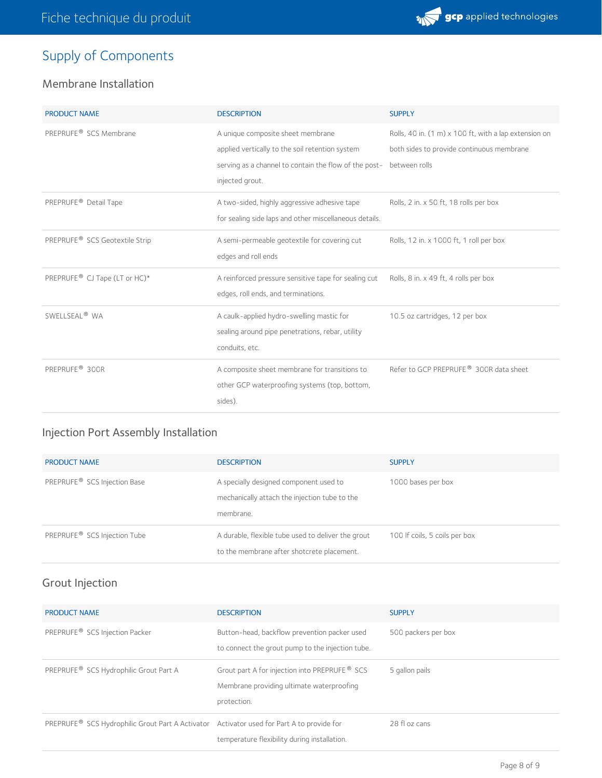

# Supply of Components

## Membrane Installation

| <b>PRODUCT NAME</b>                        | <b>DESCRIPTION</b>                                                                                                                                               | <b>SUPPLY</b>                                                                                                       |
|--------------------------------------------|------------------------------------------------------------------------------------------------------------------------------------------------------------------|---------------------------------------------------------------------------------------------------------------------|
| PREPRUFE <sup>®</sup> SCS Membrane         | A unique composite sheet membrane<br>applied vertically to the soil retention system<br>serving as a channel to contain the flow of the post-<br>injected grout. | Rolls, 40 in. (1 m) x 100 ft, with a lap extension on<br>both sides to provide continuous membrane<br>between rolls |
| PREPRUFE <sup>®</sup> Detail Tape          | A two-sided, highly aggressive adhesive tape<br>for sealing side laps and other miscellaneous details.                                                           | Rolls, 2 in. x 50 ft, 18 rolls per box                                                                              |
| PREPRUFE <sup>®</sup> SCS Geotextile Strip | A semi-permeable geotextile for covering cut<br>edges and roll ends                                                                                              | Rolls, 12 in. x 1000 ft, 1 roll per box                                                                             |
| PREPRUFE <sup>®</sup> CJ Tape (LT or HC)*  | A reinforced pressure sensitive tape for sealing cut<br>edges, roll ends, and terminations.                                                                      | Rolls, 8 in. x 49 ft, 4 rolls per box                                                                               |
| SWELLSEAL <sup>®</sup> WA                  | A caulk-applied hydro-swelling mastic for<br>sealing around pipe penetrations, rebar, utility<br>conduits, etc.                                                  | 10.5 oz cartridges, 12 per box                                                                                      |
| PREPRUFE <sup>®</sup> 300R                 | A composite sheet membrane for transitions to<br>other GCP waterproofing systems (top, bottom,<br>sides).                                                        | Refer to GCP PREPRUFE <sup>®</sup> 300R data sheet                                                                  |

# Injection Port Assembly Installation

| <b>PRODUCT NAME</b>                      | <b>DESCRIPTION</b>                                                                                   | <b>SUPPLY</b>                 |
|------------------------------------------|------------------------------------------------------------------------------------------------------|-------------------------------|
| PREPRUFE <sup>®</sup> SCS Injection Base | A specially designed component used to<br>mechanically attach the injection tube to the<br>membrane. | 1000 bases per box            |
| PREPRUFE <sup>®</sup> SCS Injection Tube | A durable, flexible tube used to deliver the grout<br>to the membrane after shotcrete placement.     | 100 If coils, 5 coils per box |

# Grout Injection

| <b>PRODUCT NAME</b>                                                                       | <b>DESCRIPTION</b>                                                                                                    | <b>SUPPLY</b>       |
|-------------------------------------------------------------------------------------------|-----------------------------------------------------------------------------------------------------------------------|---------------------|
| PREPRUFE <sup>®</sup> SCS Injection Packer                                                | Button-head, backflow prevention packer used<br>to connect the grout pump to the injection tube.                      | 500 packers per box |
| PREPRUFE <sup>®</sup> SCS Hydrophilic Grout Part A                                        | Grout part A for injection into PREPRUFE <sup>®</sup> SCS<br>Membrane providing ultimate waterproofing<br>protection. | 5 gallon pails      |
| PREPRUFE® SCS Hydrophilic Grout Part A Activator Activator used for Part A to provide for | temperature flexibility during installation.                                                                          | 28 fl oz cans       |